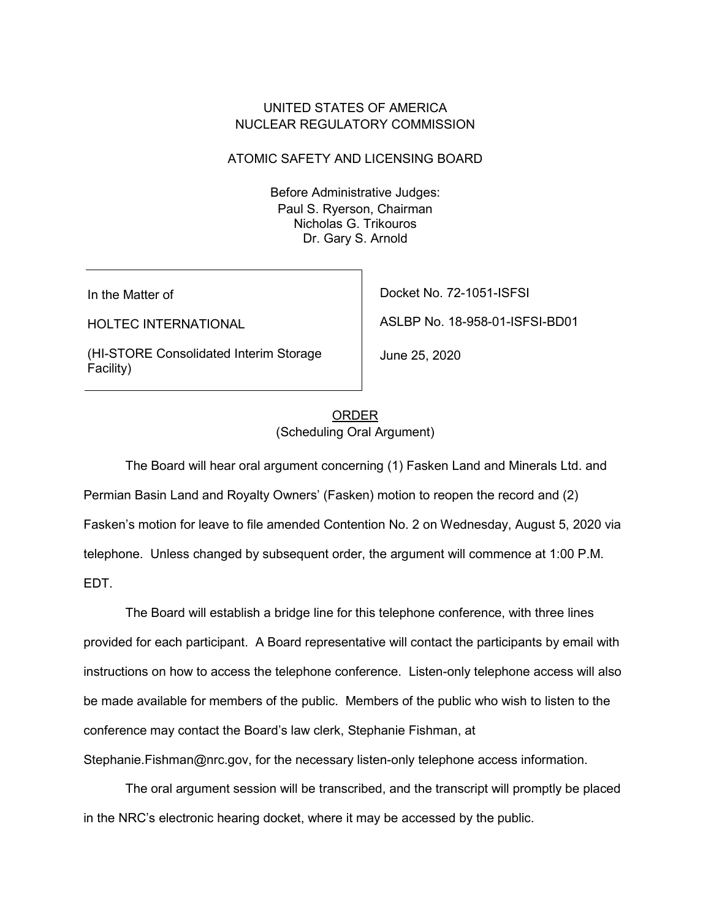### UNITED STATES OF AMERICA NUCLEAR REGULATORY COMMISSION

#### ATOMIC SAFETY AND LICENSING BOARD

Before Administrative Judges: Paul S. Ryerson, Chairman Nicholas G. Trikouros Dr. Gary S. Arnold

In the Matter of

HOLTEC INTERNATIONAL

(HI-STORE Consolidated Interim Storage Facility)

Docket No. 72-1051-ISFSI

ASLBP No. 18-958-01-ISFSI-BD01

June 25, 2020

# ORDER (Scheduling Oral Argument)

The Board will hear oral argument concerning (1) Fasken Land and Minerals Ltd. and Permian Basin Land and Royalty Owners' (Fasken) motion to reopen the record and (2) Fasken's motion for leave to file amended Contention No. 2 on Wednesday, August 5, 2020 via telephone. Unless changed by subsequent order, the argument will commence at 1:00 P.M. EDT.

The Board will establish a bridge line for this telephone conference, with three lines provided for each participant. A Board representative will contact the participants by email with instructions on how to access the telephone conference. Listen-only telephone access will also be made available for members of the public. Members of the public who wish to listen to the conference may contact the Board's law clerk, Stephanie Fishman, at

Stephanie.Fishman@nrc.gov, for the necessary listen-only telephone access information.

The oral argument session will be transcribed, and the transcript will promptly be placed in the NRC's electronic hearing docket, where it may be accessed by the public.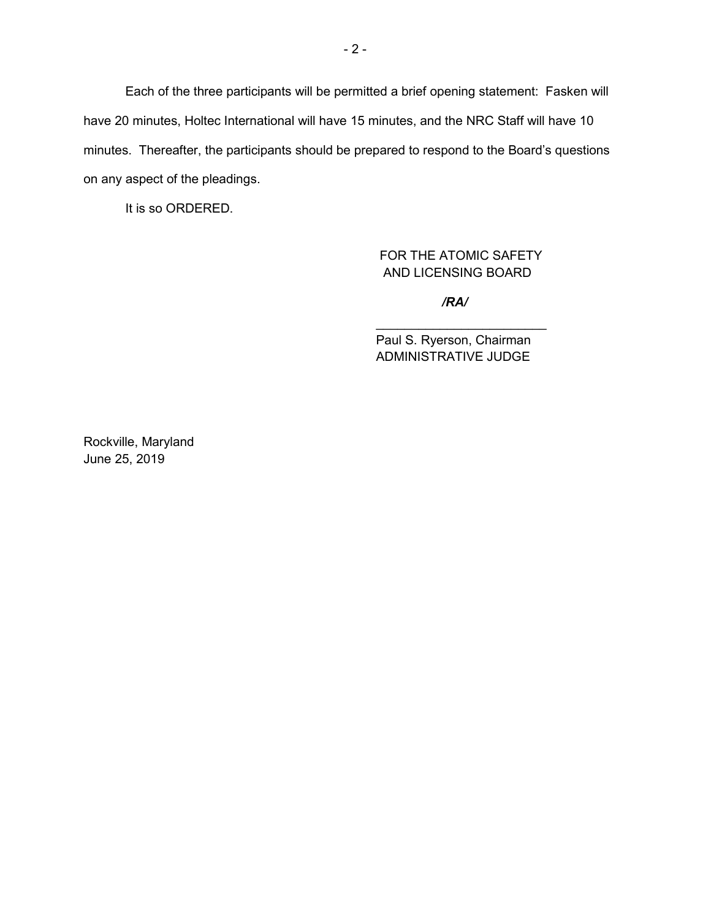Each of the three participants will be permitted a brief opening statement: Fasken will have 20 minutes, Holtec International will have 15 minutes, and the NRC Staff will have 10 minutes. Thereafter, the participants should be prepared to respond to the Board's questions on any aspect of the pleadings.

It is so ORDERED.

FOR THE ATOMIC SAFETY AND LICENSING BOARD

*/RA/*

 $\mathcal{L}_\text{max}$  , which is a set of the set of the set of the set of the set of the set of the set of the set of the set of the set of the set of the set of the set of the set of the set of the set of the set of the set of

Paul S. Ryerson, Chairman ADMINISTRATIVE JUDGE

Rockville, Maryland June 25, 2019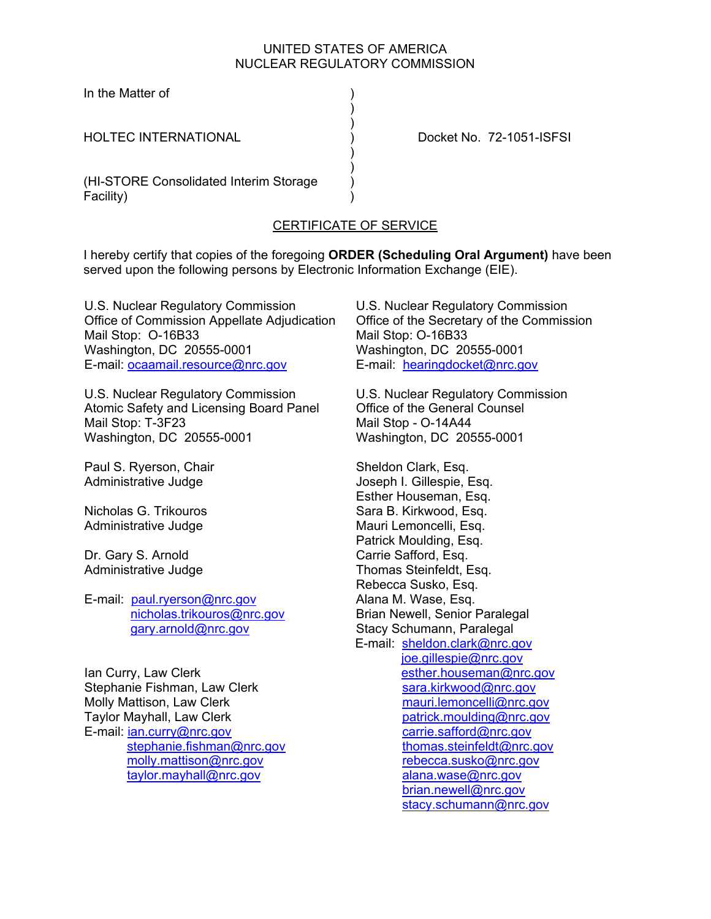#### UNITED STATES OF AMERICA NUCLEAR REGULATORY COMMISSION

In the Matter of )

HOLTEC INTERNATIONAL ) Docket No. 72-1051-ISFSI

(HI-STORE Consolidated Interim Storage ) Facility) )

 $)$  $)$ 

 $)$ 

# CERTIFICATE OF SERVICE

)

I hereby certify that copies of the foregoing **ORDER (Scheduling Oral Argument)** have been served upon the following persons by Electronic Information Exchange (EIE).

U.S. Nuclear Regulatory Commission Office of Commission Appellate Adjudication Mail Stop: O-16B33 Washington, DC 20555-0001 E-mail: ocaamail.resource@nrc.gov

U.S. Nuclear Regulatory Commission Atomic Safety and Licensing Board Panel Mail Stop: T-3F23 Washington, DC 20555-0001

Paul S. Ryerson, Chair Administrative Judge

Nicholas G. Trikouros Administrative Judge

Dr. Gary S. Arnold Administrative Judge

E-mail: paul.ryerson@nrc.gov nicholas.trikouros@nrc.gov gary.arnold@nrc.gov

Ian Curry, Law Clerk Stephanie Fishman, Law Clerk Molly Mattison, Law Clerk Taylor Mayhall, Law Clerk E-mail: ian.curry@nrc.gov stephanie.fishman@nrc.gov molly.mattison@nrc.gov taylor.mayhall@nrc.gov

U.S. Nuclear Regulatory Commission Office of the Secretary of the Commission Mail Stop: O-16B33 Washington, DC 20555-0001 E-mail: hearingdocket@nrc.gov

U.S. Nuclear Regulatory Commission Office of the General Counsel Mail Stop - O-14A44 Washington, DC 20555-0001

Sheldon Clark, Esq. Joseph I. Gillespie, Esq. Esther Houseman, Esq. Sara B. Kirkwood, Esq. Mauri Lemoncelli, Esq. Patrick Moulding, Esq. Carrie Safford, Esq. Thomas Steinfeldt, Esq. Rebecca Susko, Esq. Alana M. Wase, Esq. Brian Newell, Senior Paralegal Stacy Schumann, Paralegal E-mail: sheldon.clark@nrc.gov joe.gillespie@nrc.gov esther.houseman@nrc.gov sara.kirkwood@nrc.gov mauri.lemoncelli@nrc.gov patrick.moulding@nrc.gov carrie.safford@nrc.gov thomas.steinfeldt@nrc.gov rebecca.susko@nrc.gov alana.wase@nrc.gov brian.newell@nrc.gov stacy.schumann@nrc.gov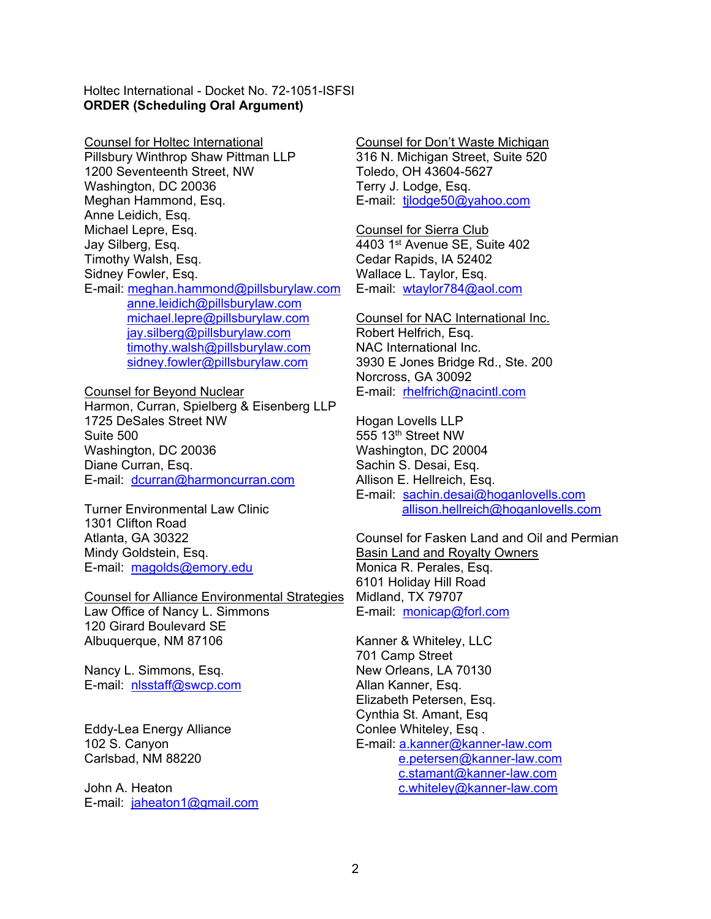Holtec International - Docket No. 72-1051-ISFSI **ORDER (Scheduling Oral Argument)** 

Counsel for Holtec International Pillsbury Winthrop Shaw Pittman LLP 1200 Seventeenth Street, NW Washington, DC 20036 Meghan Hammond, Esq. Anne Leidich, Esq. Michael Lepre, Esq. Jay Silberg, Esq. Timothy Walsh, Esq. Sidney Fowler, Esq. E-mail: meghan.hammond@pillsburylaw.com anne.leidich@pillsburylaw.com michael.lepre@pillsburylaw.com jay.silberg@pillsburylaw.com timothy.walsh@pillsburylaw.com sidney.fowler@pillsburylaw.com

Counsel for Beyond Nuclear Harmon, Curran, Spielberg & Eisenberg LLP 1725 DeSales Street NW Suite 500 Washington, DC 20036 Diane Curran, Esq. E-mail: dcurran@harmoncurran.com

Turner Environmental Law Clinic 1301 Clifton Road Atlanta, GA 30322 Mindy Goldstein, Esq. E-mail: magolds@emory.edu

Counsel for Alliance Environmental Strategies Law Office of Nancy L. Simmons 120 Girard Boulevard SE Albuquerque, NM 87106

Nancy L. Simmons, Esq. E-mail: nlsstaff@swcp.com

Eddy-Lea Energy Alliance 102 S. Canyon Carlsbad, NM 88220

John A. Heaton E-mail: jaheaton1@gmail.com Counsel for Don't Waste Michigan 316 N. Michigan Street, Suite 520 Toledo, OH 43604-5627 Terry J. Lodge, Esq. E-mail: tjlodge50@yahoo.com

Counsel for Sierra Club 4403 1st Avenue SE, Suite 402 Cedar Rapids, IA 52402 Wallace L. Taylor, Esq. E-mail: wtaylor784@aol.com

Counsel for NAC International Inc. Robert Helfrich, Esq. NAC International Inc. 3930 E Jones Bridge Rd., Ste. 200 Norcross, GA 30092 E-mail: rhelfrich@nacintl.com

Hogan Lovells LLP 555 13th Street NW Washington, DC 20004 Sachin S. Desai, Esq. Allison E. Hellreich, Esq. E-mail: sachin.desai@hoganlovells.com allison.hellreich@hoganlovells.com

Counsel for Fasken Land and Oil and Permian Basin Land and Royalty Owners Monica R. Perales, Esq. 6101 Holiday Hill Road Midland, TX 79707 E-mail: monicap@forl.com

Kanner & Whiteley, LLC 701 Camp Street New Orleans, LA 70130 Allan Kanner, Esq. Elizabeth Petersen, Esq. Cynthia St. Amant, Esq Conlee Whiteley, Esq. E-mail: a.kanner@kanner-law.com e.petersen@kanner-law.com c.stamant@kanner-law.com c.whiteley@kanner-law.com